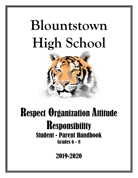# **Blountstown High School**



# Respect Organization Attitude **Responsibility** Student - Parent Handbook Grades 6 - 8

2019-2020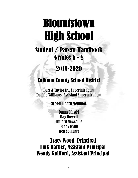## Blountstown High School Ì

Student / Parent Handbook Grades 6 - 8

2019-2020

### Calhoun County School District

Darryl Taylor Jr., Superintendent Debbie Williams, Assistant Superintendent

School Board Members

Danny Hassig Ray Howell Clifford Newsome Danny Ryals Ken Speights

Tracy Wood, Principal Link Barber, Assistant Principal Wendy Guilford, Assistant Principal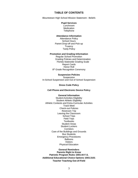#### **TABLE OF CONTENTS**

Blountstown High School Mission Statement - Beliefs

#### **Pupil Services**

Lunchroom **Medication Telephone** 

#### **Attendance Information**

Attendance Policy School Hours Parent Drop-off and Pick-up **Truancy** Tardy Policy

#### **Promotion and Grading Information**

Regular School Promotion Grading Policies and Determination Florida Statewide Grading Scale Report Cards Honor Roll 8<sup>th</sup> Grade Recognition Ceremony

#### **Suspension Policies**

**Suspension** In-School Suspension and Out of School Suspension

**Dress Code Policy**

#### **Cell Phone and Electronic Device Policy**

#### **General Information**

Student Activities Eligibility Student Athletic Eligibility Athletic Contests and Extra-Curricular Activities Track Meet Check-out Policies Restroom Trip Leaving the Classroom School Trips Field Trips **Textbooks** Student Areas Student Lockers **Corridors** Care of the Buildings and Grounds Bus Students Emergency Procedures Balloons Visitors Physical Education

#### **General Reminders Parents Right to Know Patriotic Program Rules 1003.44 F.S. Additional Educational Choice Options 1003.3101 Teacher Teaching Out-of-Field**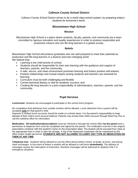#### **Calhoun County School District**

Calhoun County School District strives to be a world class school system; by preparing today's students for tomorrow's world.

#### **Blountstown High School**

#### **Mission**

Blountstown High School is a place where students, faculty, parents, and community are a team committed to rigorous education and quality experiences in order to produce responsible and productive citizens who are life-long learners in a global society.

#### **Beliefs**

Blountstown High School will produce graduates who are well prepared to meet their potential as productive and life-long learners in a diverse and ever-changing world. We believe that:

- Learning is the chief priority of school;
- Students should be responsible for their own learning with the guidance and support of teachers, parents, and the community;
- A safe, secure, and clean environment promotes learning and fosters positive self-esteem;
- Positive relationships and mutual respect among students and teachers are essential for learning;
- Curriculum must be both challenging and flexible;
- Current technical literacy is vital for students' success; and
- Creating life-long learners is a joint responsibility of administrators, teachers, parents, and the community.

#### **Pupil Services**

**Lunchroom:** Students are encouraged to participate in the school lunch program.

No competitive food deliveries from outside vendors will be allowed. Lunch deliveries from a parent will be accepted **only** for that parent's child.

Deposits to student lunch accounts should be made on a timely basis. It is the parent's responsibility to keep abreast of their child's lunch account balance. Parents may access their child's account through Meal Pay Plus or call the cafeteria office for information.

**Medication: All medications/prescriptions** must be checked in through the school office **by the parent** and a permission to dispense form must be completed and signed by the parent. The medication must be in the original prescription container with the student's name on the prescription label. The student will be excused from class at the appropriate time in order to take the dosage. A log of the dispensed medication will be maintained by the office and/or health personnel. **STUDENTS ARE NOT ALLOWED TO CARRY ANY TYPE OF MEDICATION ON THEM AT ANY TIME**.

**Telephone Use:** Students will be allowed to use the office phone before school, at break, at lunch, and during class exchanges. In the event of illness a student will be allowed to call home **immediately.** The delivery of messages causes the interruption of instruction; therefore messages will be delivered to students ONLY in emergency situations.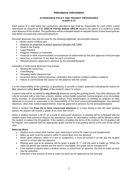#### **Attendance Information**

#### **ATTENDANCE POLICY AND TRUANCY PROCEDURES Grades K-12**

Each parent of a child within the compulsory attendance age shall be responsible for such child's school attendance as required by **F.S. 1003.24. Florida Statute 1003.26** requires the parent of a student to justify each absence of the student. The justification will be evaluated based on adopted district school board policies that define excused and unexcused absences.

Excused absences may only be used for the following legitimate, documented reasons:

- Illness and/or medical care
- Absence for treatment of autism spectrum disorder (HB 7069)
- Death in the Family
- Legal Reasons
- Religious Holidays or instruction
- Financial or other insurmountable circumstances as determined by the prior approval of the principal
- Head lice, a maximum of two days for each occurrence
- Planned absence approved in advance by the principal/designee

Examples of unexcused absences may include:

- Missing the school bus
- **Oversleeping**
- Shopping and/or pleasure trips
- Excessive illness (without physician verification that medical condition justifies a pattern)
- Failure to communicate the reason for the absence with the school

It is the responsibility of the parent(s) or guardian(s) to provide a written statement indicating the reason for **ALL** absences within **three (3) days** of the student's return to school.

A parent note will be accepted for **any three (3)** absences during the grading period. Any other absences will only be excused with a note from a doctor, dentist, school health nurse/aid, funeral program of an immediate family member, or documentation for a legal reason. Final determination of whether an absence or early dismissal is excused or unexcused is the responsibility of the local school principal/designee. Any planned absences, other than medical appointments, must be approved in advance by the principal/designee.

When a student has **three (3) or more unexcused absences** in a class during a nine (9) week grading period, the student will receive a grade of no more than 59 (F).

When a student receives a 59 (F) as a result of unexcused absences, a meeting will be scheduled with the student and/or their parents to discuss the attendance issues. An attendance contract will be offered to allow the student to replace the 59 grade(s). If the student completes the terms of the contract, the 59 grade(s) will be forgiven and replaced with the appropriate grade earned for that grading period at the end of the school year.

#### **Make-Up Work**

- Student must contact their teacher upon returning to school for make-up and assignments
- Make-up work must be turned in within 5 school days from the absence
- When given advance notice of a test or assignment, it must be turned in on the day the student returns to school after the absence
- Missing work due to an absence will be given a grade of "1" until the work is made up. When the make-up period has expired and the work is incomplete, the grade will be changed to"0"
- If the teacher is absent when a student returns to school from an absence, the time to make up work may be extended
- Extension of the amount of time to make-up work can be approved by the principal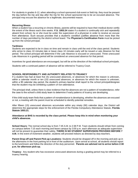For students in grades 6-12, when attending a school sponsored club event or field trip, they must be present the day before the trip and day after the trip for the school sponsored trip to be an excused absence. The principal may excuse the absence for a legitimate, documented reason.

#### **Recurring Illness**

When a student has a recurring or chronic illness, parents will be required to have their medical doctor certify the extent of the illness each nine weeks. **F.S. 1003.24** states if a student is continually sick and repeatedly absent from school, he or she must be under the supervision of a physician in order to receive an excuse from attendance. Such excuse provides that a student's condition justifies absence from more than the number of days permitted by the district school board. The **Physician's Certification Form** must be picked up from the school principal.

#### **Tardiness**

Students are expected to be in class on time and remain in class until the end of the class period. Students who arrive to class 10 minutes late or leave class 10 minutes early will be issued a Late Absence for that period. The school principal will determine if the Late Absence is excused or unexcused. Three unexcused Late Absences in a grading period will be considered an unexcused absence for that period.

Incentives for good attendance are encouraged, but will be at the direction of the individual school principals.

Students with a continued pattern of absence will be referred to Truancy Court.

#### **SCHOOL RESPONSIBILITY AND AUTHORITY RELATED TO TRUANCY**

If a student has had at least five (5) unexcused absences, or absences for which the reason is unknown, within a calendar month or ten (10) unexcused absences, or absences for which the reason is unknown, within a 90 calendar day period, the student's primary teacher shall report to the school principal/designee that the student may be exhibiting a pattern of non-attendance.

The principal shall, unless there is clear evidence that the absences are not a pattern of nonattendance, refer the case to the school's child study team to determine if early patterns of truancy are developing.

If the child study team finds that a pattern of nonattendance is developing, whether the absences are excused or not, a meeting with the parent must be scheduled to identify potential remedies.

After fifteen (15) unexcused absences accumulate within any ninety (90) calendar days, the District will determine the appropriate steps for the enforcement of the Florida Compulsory Attendance Statute, **Florida Statute 1003.21.**

#### **Attendance at BHS is recorded by the class period. Please keep this in mind when monitoring your child's absences.**

**School Hours:** The normal school day is from 7:45 A.M. to 2:38 P.M. Town students should refrain from coming on campus before 7:15 each morning and leave campus by 3:00 p.m. each afternoon as adequate supervision will not be present to guarantee their safety. **THERE IS NO STUDENT SUPERVISION PROVIDED BEFORE 7 A.M.** In the event of inclement weather, students will proceed indoors as directed by duty teachers.

**Parent Drop-off and Parent Pick-up Locations:** Students should be dropped off in the morning and pick up in the afternoons in the front parking lot in front of the auditorium. Upon arrival at school, all students should report to the lunchroom and follow the direction of the duty personnel. **Parents are advised not to arrive before 2:30 p.m. for afternoon pick-up.**

**Truancy:** Any student who has excessive unexcused absences during a grading period may be referred to a truancy hearing.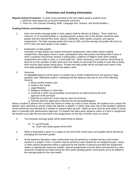#### **Promotion and Grading Information**

**Regular School Promotion:** In order to be promoted to the next higher grade a student must;

- 1. Meet the state approved curriculum framework outcomes.
- 2. Pass ALL core courses (Reading, Math, Language Arts, Science, and Social Studies.)

#### **Grading Policies and Determination:**

- 1. Each nine weeks average grade in each subject shall be derived as follows: There shall be a minimum of 13 recorded grades in a grading period, at least nine of the thirteen should be daily grades and four derived from tests, reports, notebooks, book reports, projects, and special assignments. The daily average grade will count as 33%, and the average test grade will count as 67% of the nine week grade in any subject.
- 2. Explanation of daily grades

Examples of daily grades are routine homework assignments, both written and/or reading assignments, daily papers done in class, participation when discussions are being held in class or when a question and answer session is taking place, evidence of diligent study when reading assignments are made in class, or a brief daily test. When necessary, each teacher should keep at least six to nine samples of daily work each nine weeks to document the quality of work that is being done and the daily grades being given. At least one daily grade will be recorded each week of the nine week grading period to reflect that week's work.

3. Absences

An **excused** absence will be given if a student has a written statement from the parent or legal guardian (see "Attendance policy") indicating that the absence was due to one of the following reasons:

- a. Illness and/or medical care
- b. Death in the Family
- c. Legal Reasons
- d. Religious Holidays or instruction
- e. Financial or other insurmountable circumstances as determined by the prior approval of the principal
- f. Head lice (a maximum of two days for each occurrence)
- g. Planned absence approved in advance by the principal/designee

When a student is absent from school and wishes to make up a test or work missed, the student must contact the teacher upon returning to school unless the teacher is absent, in which case each day of the teacher's absence would extend the time allowed for a student to request make-up work. Make-up work must be done within 5 school days or extended with administrator approval. If a student has been given advance notice of a test or assignment the student must take the test and hand in the assignments on the day of his/her return to school.

- 4. The semester average grade will be determined as follows:
	- 6<sup>th</sup>, 7<sup>th</sup>, and 8<sup>th</sup>Grade
		- a) Each nine weeks grade will be 50%
- 5. When a final grade is given in a subject at the end of the school year such grades will be derived by averaging the semester grades.
- 6. At the teacher's discretion, extra credit points may be earned by a student during a nine weeks session in a subject. From 1-3 points may be earned by each student for an assigned project, report, or other special assignment which is approved by the teacher in advance provided the assignment relates to appropriate classroom studies. Special assignments must be above and beyond any other classroom assignments made during the nine weeks grading period. Extra points are to be added to the average grade for the nine weeks.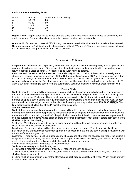#### **Florida Statewide Grading Scale:**

| Grade | Percent  | Grade Point Value (GPA) |
|-------|----------|-------------------------|
| A     | 90-100   | 4.0                     |
| B     | 80-89    | 3.0                     |
| C     | 70-79    | 2.0                     |
| D     | 60-69    | 1.0                     |
| F     | $0 - 59$ | 0.0                     |

**Report Cards:** Report cards will be issued after the close of the nine weeks grading period as directed by the district schedule. Students should make sure that parents receive their report cards.

**Honor Roll:** Students who make all "A's" for any nine weeks period will make the A honor roll for the nine weeks. No grade below an "A" will be allowed. Students who make all "A's and B's" for any nine weeks period will make the "B" Honor Roll. No grades below a "B" will be allowed.

#### **Suspension Policies**

**Suspension:** In the event of suspension, the student will be given a letter describing the type of suspension, the nature of the offense, the period of the suspension, the effective date, and the date in which the student may return to regular classes or school. This letter is to be taken home to parents.

**In-School and Out-of-School Suspension (ISS and OSS):** At the discretion of the Principal or Designee, a student may receive In-school suspension (ISS) or Out-of-school suspension(OSS) for a period of not more than ten consecutive days. A student may not return to school until the ISS or OSS assignment is completed. Class work missed as a result of the Out-of-school suspension must be requested by and picked up by the parents. The work is due upon returning to school from the suspension. Each student shall receive full credit for such work.

#### **Dress Code**

Students have the responsibility to dress appropriately while on the school grounds during the regular school day. A student's dress should show respect for self and others and shall not be permitted to disrupt the teaching and learning environment. Each school board shall adopt a dress code policy that prohibits a student, while on the grounds of a public school during the regular school day, from wearing clothing that exposes underwear or body parts in an indecent or vulgar manner or that disrupts the orderly learning environment. **F.S. 1006.07(2)(d).** The final determination shall be that of the Principal or their designee.

#### **Students Grades 3-12**

Student dress and personal grooming are the responsibility of the student and parent. In the final analysis, the building administrator has the responsibility to interpret that which negates a reasonable standard of conduct and appearance. For students in grades PK-3, the principal will determine if the circumstances require implementation of these guidelines. Students whose personal attire or grooming distracts or may distract others from school work shall be subject to the following:

1st offense –Verbal warning, parents called, allowed appropriated time to make required changes and return to class. (Class time missed will be unexcused.)

2nd offense - Disciplinary action will be taken after required changes are made. The student is ineligible to participate in any extracurricular activity for a period not to exceed 5 days and the school principal must meet with the student's parent or guardian.

3rd offense - Three days of In-School Suspension will be assigned after required changes are made, the student is ineligible to participate in any extracurricular activity for a period not to exceed 30 days, and the school principal must call and send a written notice of such to the student's parent or guardian.

All additional infractions will be treated as Insubordination.

Students must comply with the following rules:

1. Footwear is required while on school property for reasons of health and safety.

2. Shirts must be worn at all times. Tank tops, see-through materials worn without undershirts, and halter tops shall not be worn to school.

3. Shirts must be long enough to cover the stomach and back area completely at all times. (When hands are fully extended above the head, etc.)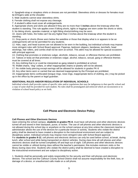4. Spaghetti-strap or strapless shirts or dresses are not permitted. Sleeveless shirts or dresses for females must be **4** fingers wide at the shoulder.

5. Male students cannot wear sleeveless shirts.

6. Female clothing shall not expose any cleavage.

7. A student's attire must cover all undergarments.

8. Appropriate shorts and skirts are allowed if they are no more than 5 **inches** above the kneecap when the student is standing. This rule applies even if biking shorts, tights or leggings are worn under the shorts or skirts.

9. No biking shorts, spandex material, or tight fitting shorts/clothing may be worn.

10. Jeans with holes, the holes can't be any higher than 3 inches above the kneecap when the student is standing.

11. Drop pants or shorts (those worn below the waistline or those that display what is or appears to be an undergarment) will not be permitted for any students.

12. Hats, caps, and head scarves are not allowed to be worn in the building, but individual schools may impose more stringent rules with School Board approval. Pajamas, bedroom slippers, bandanas, kerchiefs, head stockings, hair rollers, and combs shall not be worn at school. This attire may be allowed for special occasions with principal approval.

13. Clothing that promotes or endorses vulgar, alcoholic, tobacco, sexual, or offensive themes are prohibited. 14. Tattoos or body art that promotes or endorses vulgar, alcohol, tobacco, sexual, gang or offensive themes must be covered at all times.

15. Any clothing that is or could be interpreted as gang related is prohibited at school.

16. Wallet chains, "dog" collars, or other inappropriate chains or jewelry will not be allowed.

17. No visible body piercing except earrings will be allowed for students in grades PK-8

18. Any other items worn or carried that are deemed inappropriate by the Principal are prohibited.

19. Inappropriate items confiscated (tongue rings, nose rings, inappropriate items of clothing, etc.) may be picked up in the office by the parent or legal guardian.

#### **ADDITIONAL RULES AND/OR REGULATION OF INDIVIDUAL SCHOOLS**

Individual schools shall provide copies of specific rules and/or regulations that may be indigenous to that specific school and a copy of same shall be provided for each student. No rules shall be promulgated and enforced which are inconsistent or in violation of school board policy as set forth.

#### **Cell Phone and Electronic Device Policy**

#### **Cell Phones and Other Electronic Devices**

Upon entering the school campus, **students in grades PK-8**, must have cell phones and other electronic devices turned off and stored in their backpack, purse, or locker. The use of cell phones and other electronic devices is not allowed during the school day or anywhere on the school campus at any time unless the classroom teacher or administrator allows the use of the devices for a particular lesson or activity. Students who violate the district policy shall be deemed to have created a disruption to the instructional environment and are subject to disciplinary action. Individual schools may impose more stringent rules with School Board approval. For **students in grades 9-12**, cell phones and electronic devices can only be used before school, at break, during lunch, after school and while being transported on district vehicles. During class time all cell phones and other electronic devices shall be turned completely off and kept out of sight. Cell phones and other electronic devices cannot be visible or utilized during class without the teacher's permission; this includes restroom visits or the library during class time. Students who violate the district policy shall be deemed to have created a disruption to the instructional environment and are subject to disciplinary action.

1. Students shall be personally and solely responsible for the security and their cell phones and electronic devices. The school and the Calhoun County School District shall not assume responsibility for the theft, loss, or damage of a device, or unauthorized calls made on a cell phone.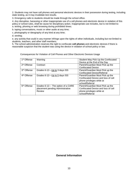2. Students may not have cell phones and personal electronic devices in their possession during testing, including state testing, as it may invalidate test results.

3. Emergency calls to students should be made through the school office.

4. Any disruptive, harassing or other inappropriate use of a cell phones and electronic device in violation of this policy or school rules, shall be cause for disciplinary action. Inappropriate use includes, but is not limited to: a. texting, phoning or web browsing during prohibited times;

b. taping conversations, music or other audio at any time;

c. photography or ideography of any kind at any time;

d. sexting;

e. any activity that could in any manner infringe upon the rights of other individuals, including but not limited to students, teachers, and other staff members.

5. The school administration reserves the right to confiscate **cell phones** and electronic devices if there is reasonable suspicion that the student was using the device in violation of school policy or law.

| 1 <sup>st</sup> Offense | Warning                             | Student May Pick Up the Confiscated |
|-------------------------|-------------------------------------|-------------------------------------|
|                         |                                     | Device at the End of the Day        |
| 2 <sup>st</sup> Offense | Contract                            | Parent/Guardian Must Pick up the    |
|                         |                                     | <b>Confiscated Device</b>           |
| 3rd Offense             | Grades 6-12---Up to 3 days ISS      | Parent/Guardian Must Pick up the    |
|                         |                                     | <b>Confiscated Device/Referral</b>  |
| 4 <sup>th</sup> Offense | Grades 6-12---Up to 5 days ISS      | Parent/Guardian Must Pick up the    |
|                         |                                     | Confiscated Device and loss of cell |
|                         |                                     | phone privileges while at           |
|                         |                                     | school/Referral                     |
| 5 <sup>th</sup> Offense | Grades 6-12--- The option of a CARE | Parent/Guardian Must Pick up the    |
|                         | placement pending Administrative    | Confiscated Device and loss of cell |
|                         | Review                              | phone privileges while at           |
|                         |                                     | school/Referral                     |

Consequences for Violation of Cell Phones and Other Electronic Devices Usage

#### **General Information**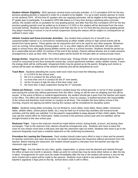**Student Athletic Eligibility:** BHS sponsors several extra-curricular activities. A 2.0 cumulative GPA for the two previous grading periods is required in order for a student to be eligible. It is up to each activity sponsor to check on the students GPA. All first time  $6<sup>th</sup>$  graders who are regularly promoted, will be eligible at the beginning of their 6<sup>th</sup> grade year to participate. If a student's GPA falls below a 2.0 any time during a yearlong extra-curricular activity, the student will be on probation for one grading period, and after that time the cumulative GPA for the two previous grading periods must be pulled up to at least a 2.0 GPA or the student will be dismissed from the extracurricular activity. Students must also not have more than two N's or no U's from the two previous grading period. Any player receiving in-school or out-of-school suspension during the season will be subject to consequences as outlined in team rules.

**Athletic Contest and Extra-Curricular Activities:** Any student that conducts his or herself in an unsportsmanlike manner or is corrected for misbehaving at either middle school or high school events will be barred from future games. These games are for enjoyment and not to be used for any other purpose. Behaviors such as running, horse playing, throwing paper, ice, or any other objects will not be tolerated. All rules which apply in school hours also apply during athletic events as this is a school function. Students should be picked up by a responsible person within 15 minutes of the end of the activity. Parents without phones are to make previous arrangements to pick up their child. The school gates will be locked 30 minutes after an extracurricular event.

**Energy Drinks:** Beginning with the 2013-2014 school year, "Energy Drinks" will not be allowed to be brought to school or consumed at any time during the school day, school sponsored activities, and/or athletic events. If seen, the energy drink will be confiscated. Unopened drinks may be picked up by the parent. Bringing such drinks to school will be seen as defiance of the school's authority and will be disciplined as such.

**Track Meet:** Students attending the county wide track meet must meet the following criteria:

- 1. A 2.0 GPA for the school year,
- 2. No U's in conduct for the school year.
- 3. no more than one N in conduct for the  $3<sup>rd</sup>$  nine weeks,
- 4. not be 16 years of age the day of the track meet, and
- 5. No more than 3 days suspension during the  $2<sup>nd</sup>$  semester.

**Check-out Policies:** Under no condition should a student leave the school grounds or not be in their assigned area during the school day without permission from the office. Doing so will be seen as skipping and ISS will be issued. In the event of illness or medical appointments, the student should get a pass from the teacher and report to the office. The office will contact the student's parents. Once on campus, a student becomes the responsibility of the school and therefore must remain on campus at all times. This includes the time before school in the morning. Anyone not signing out before leaving the campus will be considered for discipline action.

**Debts:** Students owing debts (including, but not limited to, lunch debts, book debts, library debts, homeroom debts, athletic debts, school picture debts, etc.) may be held out of school day activities and extracurricular activities until the debts are satisfied. It is the parent's responsibility to keep abreast of their child's debts. Parents may call the school office for information. Debts incurred in the previous school year and not satisfied, will be brought forward to the new school year.

**Restroom Trips:** Trips to the restroom should be made before school, during break, at lunch, and during class exchanges. Trips to the restroom from classes should be emergencies only. Students who have to leave the room for any reason must have a hall pass and sign the classroom sign-out sheet. Students who have to go to the restroom frequently must have a medical statement on file confirming incontinence.

**Procedure for Leaving the Classroom:** Each student should make every effort to stay in class and be present for teacher instruction and class discussions. No student should leave the classroom without permission from the teacher. Before leaving the classroom, the student should acquire a hall pass from the teacher and sign the classroom sign-out sheet.

**School Trips:** Any trip taken by any class, grade, organization, or group must be planned and cleared through the office at least one month in advance. Make up work for school trips may be done either before or after the trip is taken. Arrangements for work must be made immediately after the trip or the student will receive a zero for the work missed and a report will be made to the sponsor. Students must submit a trip authorization slip for the teacher's signature 3 days prior to the trip. School dress code is still in effect.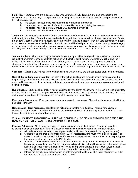**Field Trips:** Students who are excessively absent and/or chronically disruptive and unmanageable in the classroom or on the bus may be suspended from field trips if recommended by the teacher and principal under the following conditions:

- a. The student has four office visits and/or bus referrals for the year; or
- b. The student has more than 2 N's or 1 or more U's in conduct during the year; or
- c. The student has 4 or more ISS and/or OSS days for the year, or
- d. The student has chronic attendance issues.

**Textbooks** The student is responsible for the security and maintenance of all textbooks and materials placed in their care by the school. Books that are carelessly damaged, lost, or stolen will be charged to the student. Books are generally secure when in the possession of the owner or in a locked locker with a private combination. Books must have the owners name inside the front. Book checks will be held periodically. Students not paying damages or replacement costs are prohibited from participating in extra-curricular activities until they are receipted as paid or satisfy the indebtedness through community service on campus as provided by state law.

**Student Lockers:** All students may be issued a locker equipped with a combination lock. When lockers are issued by homeroom teachers, students will be given the locker combination. Students are **not** to give their locker combination to others, are not to share lockers, and are not to trade locker assignments with other students. Students will visit their lockers before school, at break, lunch, and after school to secure supplies and reduce their book load. Students will be given ample time in the afternoon to go to their lockers before busses run.

**Corridors:** Students are to keep to the right at all times, walk orderly, and exit congested areas of the corridors.

**Care of the Building and Grounds:** The care of the school building and grounds should be considered the responsibility of every student. It is the joint responsibility of the teachers and students to take proper care of a room and its equipment. If vandalism or safety becomes an issue in any area an *open upon request* policy will be implemented.

**Bus Students:** Students should follow rules established by the driver. Misbehavior will result in a loss of privilege of riding the bus. If a bus is equipped with seat belts, students must buckle up immediately upon taking their seat, and remain buckled until the bus comes to a complete stop at their destination.

**Emergency Procedures:** Emergency procedures are posted in each room. Please familiarize yourself with them and act accordingly.

**Balloons and Floral Arrangements:** Balloons will not be accepted from florists or parents for delivery to students at school due to safety hazards on busses and other vehicles. Floral arrangements must be in a nonbreakable container to be allowed on buses.

#### **Visitors: PARENTS AND GUARDIANS ARE WELCOME BUT MUST SIGN IN THROUGH THE OFFICE AND RECEIVE A VISITOR'S PASS.** No student visitors will be allowed.

**Physical Education:** All students are expected to participate in physical education. Please observe the following rules as your grades in Physical Education will be influenced by cooperation and participation.

- a. All students are expected to dress appropriately for Physical Education (including tennis shoes).
- b. Students who are unable to participate in P.E. for medical reasons must bring a doctor's note. This note will remain in the student's folder. If there are short periods of time a student is not to participate, the parent must send a note to the P.E. teacher.
- c. Valuables should be checked in to the teacher and not left lying around. Clothing and shoes should be properly marked for identification purposes. All gym lockers should have locks on them and remain locked at all times when a student is not removing or placing clothes in the locker. Anyone caught stealing will be suspended from school and referred to the law enforcement authorities.
- d. If there are any physical defects, such as asthma, heart trouble, etc. which your child may have it is important to advise the P.E. teacher and the school.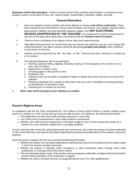**Statement of Non-Discrimination:** Calhoun County School Policy prohibits discrimination in employment and program access, on the basis of race, sex, national origin, marital status, handicap, religion, and age.

#### **General Reminders**

- 1. Items not related to school activities will not be allowed on campus **and will be confiscated.** These items include but are not limited to: knives, brass knuckles, nun-chucks, razor blades, shaving razors, laser pointers, lighters, toys that resemble weapons, pagers, and **ANY ELECTRONIC DEVICES UNAPPROVED BY THE TEACHER.** Any student who is found in possession of any item of this type will be dealt with in accordance with the **Student Code of Conduct.**
- 2. There is to be no throwing of any objects at time other than supervised play.
- 3. Obey **all** school personnel. Do not feel that only one teacher has authority over you. Don't argue with school personnel. If an adult's actions cannot be discussed **privately and politely,** there should be no discussion at that time.
- 4. Address all school personnel by "Mr." and "Mrs." or "Ms.", then the last name. Respond in a polite yes or no manner.
- 5. The following behaviors will not be permitted:
	- a. Running, pushing, hitting, slapping, thumping, kicking, or horse playing in the corridors or any other area of campus.
	- b. Eating food or candy in class.
	- c. Throwing paper on the ground or floor.
	- d. Breaking in line.
	- e. Failing to clean up any spills or dropping of paper or plastic items that may have occurred in the cafeteria.
	- f. Picking up anything from a student's desk other than your own or handling or touching anything on the teacher's or secretary's desk.
	- g. Chewing gum on campus at any time.

#### 6. **Other rules will be brought to your attention as needed.**

#### **Parent's Right-to-Know**

In compliance with the No Child Left Behind Act, The Calhoun County School District is hereby notifying every parent of a student in a Title I school that you have the right to know, at a minimum, the following information:

- The qualifications of the school staff providing instruction to your child.
- Your child's level of achievement in each state academic assessment.
- Whether your child has been assigned to or has been taught for four or more consecutive weeks by a teacher of a core academic subject who is not highly qualified.

An LEA receiving Title I funds will, at the beginning of each school year, also notify the parents of students attending a Title I school that they may request information regarding the professional qualifications of the student's classroom teachers.

Upon the parent's request, the LEA is to provide the following information:

- Whether the teacher has met state qualifications and licensing criteria for the grade level and subject areas in which the teacher provides instruction.
- Whether the teacher is teaching under emergency or other provisional status through which state qualification or licensing criteria have been waived.
- The baccalaureate degree major of the teacher and any graduate certification or degree held by the teacher and the field of discipline of the certification or degree.
- Whether the child is provided services by paraprofessionals and, if so, their qualifications.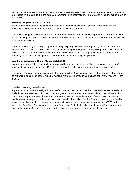Notices to parents are to be in a uniform format unless an alternative format is requested and, to the extent practicable, in a language that the parents understand. This information will be provided within ten school days of the request.

#### **Patriotic Program Rules 1003.44 F.S.**

When the national anthem is played, students and all civilians shall stand at attention, men removing the headdress, except when such headdress is worn for religious purposes.

The pledge allegiance to the flag shall be rendered by students standing with the right hand over the heart. The pledge of allegiance to the flag shall be recited at the beginning of the day in each public elementary, middle, and high school in the state.

Students have the right not to participate in reciting the pledge. Upon written request by his or her parent, the students must be excused from reciting the pledge, including standing and placing the right hand over his or her heart. When the pledge is given, unexcused must show full respect to the flag by standing at attention, men removing the headdress, except when such headdress is worn for religious purposes.

#### **Additional Educational Choice Options 1003.3101**

A parent may request his or her child be transferred to another classroom teacher by contacting the school's principal by written notice or email. Parents do not have the right to choose a specific classroom teacher.

The school principal must approve or deny the transfer within 2 weeks after receiving the request. If the request for transfer is denied, the school principal must notify the parent by certified mail and specify the reasons for the denial.

#### **Teacher Teaching Out-of-Field**

A parent whose student is assigned an out-of-field teacher may request that his or her child be transferred to an in-field classroom teacher within the school and grade in which the student currently is enrolled. The school district must approve or deny the parent's request and transfer the students to a different classroom teacher within a reasonable period of time, not to exceed 2 weeks, if an in-field teacher for that course or grade level is employed by the school and the transfer does not violate maximum class size pursuant to s. 1003.03 and s.1, Article IX of the State Constitution. If a request for the transfer is denied, the school may notify the parent and specify the reasons for the denial. A parent does not have the right to choose a specific teacher.